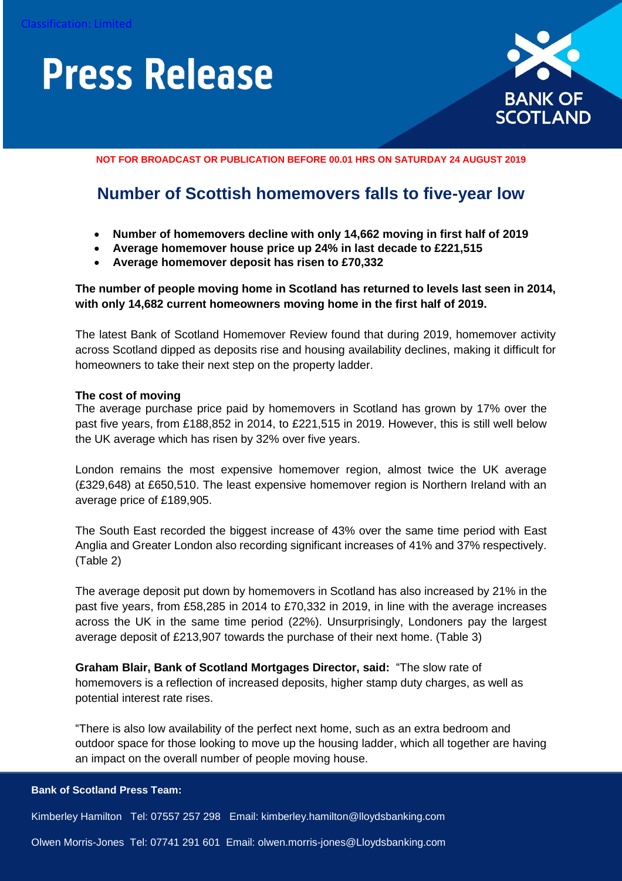

**NOT FOR BROADCAST OR PUBLICATION BEFORE 00.01 HRS ON SATURDAY 24 AUGUST 2019**

### **Number of Scottish homemovers falls to five-year low**

- **Number of homemovers decline with only 14,662 moving in first half of 2019**
- **Average homemover house price up 24% in last decade to £221,515**
- **Average homemover deposit has risen to £70,332**

**The number of people moving home in Scotland has returned to levels last seen in 2014, with only 14,682 current homeowners moving home in the first half of 2019.**

The latest Bank of Scotland Homemover Review found that during 2019, homemover activity across Scotland dipped as deposits rise and housing availability declines, making it difficult for homeowners to take their next step on the property ladder.

#### **The cost of moving**

The average purchase price paid by homemovers in Scotland has grown by 17% over the past five years, from £188,852 in 2014, to £221,515 in 2019. However, this is still well below the UK average which has risen by 32% over five years.

London remains the most expensive homemover region, almost twice the UK average (£329,648) at £650,510. The least expensive homemover region is Northern Ireland with an average price of £189,905.

The South East recorded the biggest increase of 43% over the same time period with East Anglia and Greater London also recording significant increases of 41% and 37% respectively. (Table 2)

The average deposit put down by homemovers in Scotland has also increased by 21% in the past five years, from £58,285 in 2014 to £70,332 in 2019, in line with the average increases across the UK in the same time period (22%). Unsurprisingly, Londoners pay the largest average deposit of £213,907 towards the purchase of their next home. (Table 3)

**Graham Blair, Bank of Scotland Mortgages Director, said:** "The slow rate of homemovers is a reflection of increased deposits, higher stamp duty charges, as well as potential interest rate rises.

"There is also low availability of the perfect next home, such as an extra bedroom and outdoor space for those looking to move up the housing ladder, which all together are having an impact on the overall number of people moving house.

**Bank of Scotland Press Team:**

Kimberley Hamilton Tel: 07557 257 298 Email: kimberley.hamilton@lloydsbanking.com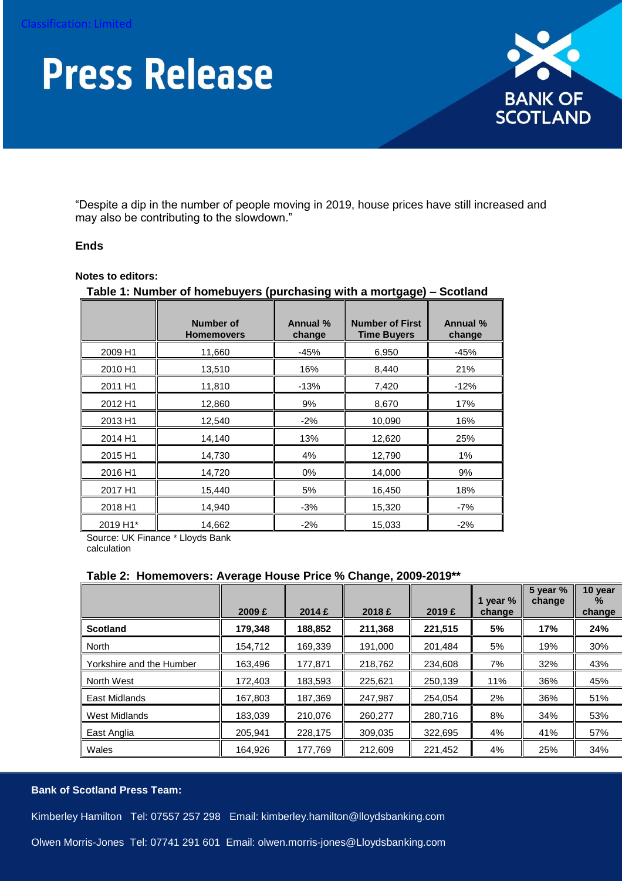

"Despite a dip in the number of people moving in 2019, house prices have still increased and may also be contributing to the slowdown."

#### **Ends**

#### **Notes to editors:**

|          | <b>Number of</b><br><b>Homemovers</b> | Annual %<br>change | <b>Number of First</b><br><b>Time Buyers</b> | Annual %<br>change |
|----------|---------------------------------------|--------------------|----------------------------------------------|--------------------|
| 2009 H1  | 11,660                                | $-45%$             | 6,950                                        | $-45%$             |
| 2010 H1  | 13,510                                | 16%                | 8,440                                        | 21%                |
| 2011 H1  | 11,810                                | $-13%$             | 7,420                                        | $-12%$             |
| 2012 H1  | 12,860                                | 9%                 | 8,670                                        | 17%                |
| 2013 H1  | 12,540                                | $-2%$              | 10,090                                       | 16%                |
| 2014 H1  | 14,140                                | 13%                | 12,620                                       | 25%                |
| 2015 H1  | 14,730                                | 4%                 | 12,790                                       | 1%                 |
| 2016 H1  | 14,720                                | $0\%$              | 14,000                                       | 9%                 |
| 2017 H1  | 15,440                                | 5%                 | 16,450                                       | 18%                |
| 2018 H1  | 14,940                                | $-3%$              | 15,320                                       | $-7%$              |
| 2019 H1* | 14,662                                | $-2%$              | 15,033                                       | $-2%$              |

#### **Table 1: Number of homebuyers (purchasing with a mortgage) – Scotland**

Source: UK Finance \* Lloyds Bank calculation

#### **Table 2: Homemovers: Average House Price % Change, 2009-2019\*\***

|                          | 2009 £  | 2014E   | 2018 £  | 2019 £  | 1 year $%$<br>change | 5 year %<br>change | 10 year<br>$\%$<br>change |
|--------------------------|---------|---------|---------|---------|----------------------|--------------------|---------------------------|
| <b>Scotland</b>          | 179,348 | 188,852 | 211,368 | 221,515 | 5%                   | 17%                | 24%                       |
| <b>North</b>             | 154.712 | 169,339 | 191,000 | 201.484 | 5%                   | 19%                | 30%                       |
| Yorkshire and the Humber | 163,496 | 177,871 | 218,762 | 234,608 | 7%                   | 32%                | 43%                       |
| North West               | 172,403 | 183,593 | 225,621 | 250,139 | 11%                  | 36%                | 45%                       |
| East Midlands            | 167,803 | 187,369 | 247,987 | 254.054 | 2%                   | 36%                | 51%                       |
| <b>West Midlands</b>     | 183,039 | 210,076 | 260,277 | 280,716 | 8%                   | 34%                | 53%                       |
| East Anglia              | 205.941 | 228.175 | 309,035 | 322.695 | 4%                   | 41%                | 57%                       |
| Wales                    | 164,926 | 177,769 | 212,609 | 221,452 | 4%                   | 25%                | 34%                       |

#### **Bank of Scotland Press Team:**

Kimberley Hamilton Tel: 07557 257 298 Email: kimberley.hamilton@lloydsbanking.com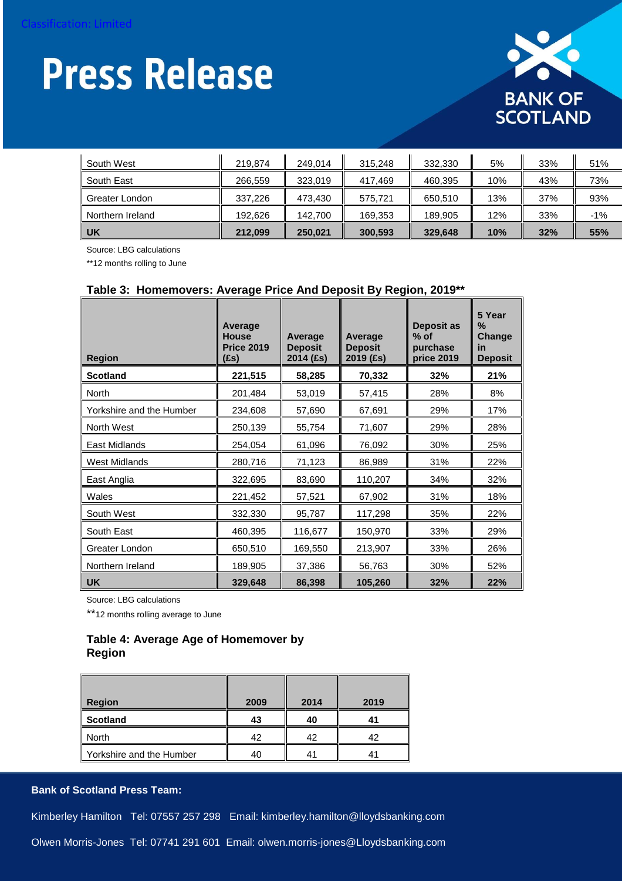

| South West       | 219.874 | 249.014 | 315.248 | 332,330 | 5%  | 33% | 51%   |
|------------------|---------|---------|---------|---------|-----|-----|-------|
| South East       | 266.559 | 323.019 | 417.469 | 460,395 | 10% | 43% | 73%   |
| Greater London   | 337.226 | 473.430 | 575.721 | 650.510 | 13% | 37% | 93%   |
| Northern Ireland | 192.626 | 142.700 | 169,353 | 189.905 | 12% | 33% | $-1%$ |
| UK               | 212,099 | 250.021 | 300,593 | 329.648 | 10% | 32% | 55%   |

Source: LBG calculations

\*\*12 months rolling to June

#### **Table 3: Homemovers: Average Price And Deposit By Region, 2019\*\***

| <b>Region</b>            | Average<br><b>House</b><br><b>Price 2019</b><br>$(f_s)$ | Average<br><b>Deposit</b><br>2014 (£s) | Average<br><b>Deposit</b><br>2019 (£s) | <b>Deposit as</b><br>$%$ of<br>purchase<br>price 2019 | 5 Year<br>$\%$<br><b>Change</b><br>in<br><b>Deposit</b> |
|--------------------------|---------------------------------------------------------|----------------------------------------|----------------------------------------|-------------------------------------------------------|---------------------------------------------------------|
| <b>Scotland</b>          | 221,515                                                 | 58,285                                 | 70,332                                 | 32%                                                   | 21%                                                     |
| North                    | 201,484                                                 | 53,019                                 | 57,415                                 | 28%                                                   | 8%                                                      |
| Yorkshire and the Humber | 234,608                                                 | 57,690                                 | 67,691                                 | 29%                                                   | 17%                                                     |
| North West               | 250,139                                                 | 55,754                                 | 71,607                                 | 29%                                                   | 28%                                                     |
| East Midlands            | 254,054                                                 | 61,096                                 | 76,092                                 | 30%                                                   | 25%                                                     |
| <b>West Midlands</b>     | 280,716                                                 | 71,123                                 | 86,989                                 | 31%                                                   | 22%                                                     |
| East Anglia              | 322,695                                                 | 83,690                                 | 110,207                                | 34%                                                   | 32%                                                     |
| Wales                    | 221,452                                                 | 57,521                                 | 67,902                                 | 31%                                                   | 18%                                                     |
| South West               | 332,330                                                 | 95,787                                 | 117,298                                | 35%                                                   | 22%                                                     |
| South East               | 460,395                                                 | 116,677                                | 150,970                                | 33%                                                   | 29%                                                     |
| Greater London           | 650,510                                                 | 169,550                                | 213,907                                | 33%                                                   | 26%                                                     |
| Northern Ireland         | 189,905                                                 | 37,386                                 | 56,763                                 | 30%                                                   | 52%                                                     |
| <b>UK</b>                | 329,648                                                 | 86,398                                 | 105,260                                | 32%                                                   | 22%                                                     |

Source: LBG calculations

\*\*12 months rolling average to June

#### **Table 4: Average Age of Homemover by Region**

| <b>Region</b>            | 2009 | 2014 | 2019 |
|--------------------------|------|------|------|
| Scotland                 | 43   | 40   |      |
| North                    | 42   | 42   | 42   |
| Yorkshire and the Humber | 40   |      |      |

#### **Bank of Scotland Press Team:**

Kimberley Hamilton Tel: 07557 257 298 Email: kimberley.hamilton@lloydsbanking.com

Olwen Morris-Jones Tel: 07741 291 601 Email: olwen.morris-jones@Lloydsbanking.com